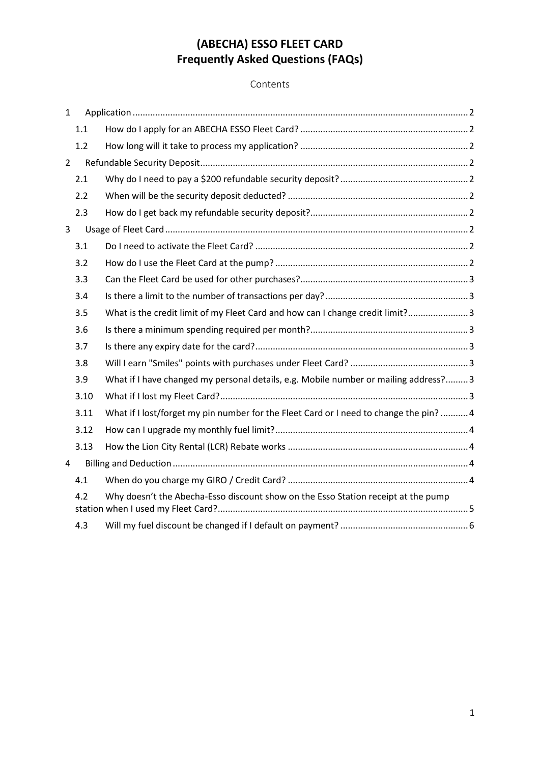# **(ABECHA) ESSO FLEET CARD Frequently Asked Questions (FAQs)**

## Contents

| $\mathbf{1}$   |      |                                                                                       |
|----------------|------|---------------------------------------------------------------------------------------|
|                | 1.1  |                                                                                       |
|                | 1.2  |                                                                                       |
| $\overline{2}$ |      |                                                                                       |
|                | 2.1  |                                                                                       |
|                | 2.2  |                                                                                       |
|                | 2.3  |                                                                                       |
| 3              |      |                                                                                       |
|                | 3.1  |                                                                                       |
|                | 3.2  |                                                                                       |
|                | 3.3  |                                                                                       |
|                | 3.4  |                                                                                       |
|                | 3.5  | What is the credit limit of my Fleet Card and how can I change credit limit? 3        |
|                | 3.6  |                                                                                       |
|                | 3.7  |                                                                                       |
|                | 3.8  |                                                                                       |
|                | 3.9  | What if I have changed my personal details, e.g. Mobile number or mailing address? 3  |
|                | 3.10 |                                                                                       |
|                | 3.11 | What if I lost/forget my pin number for the Fleet Card or I need to change the pin? 4 |
|                | 3.12 |                                                                                       |
|                | 3.13 |                                                                                       |
| $\overline{4}$ |      |                                                                                       |
|                | 4.1  |                                                                                       |
|                | 4.2  | Why doesn't the Abecha-Esso discount show on the Esso Station receipt at the pump     |
|                | 4.3  |                                                                                       |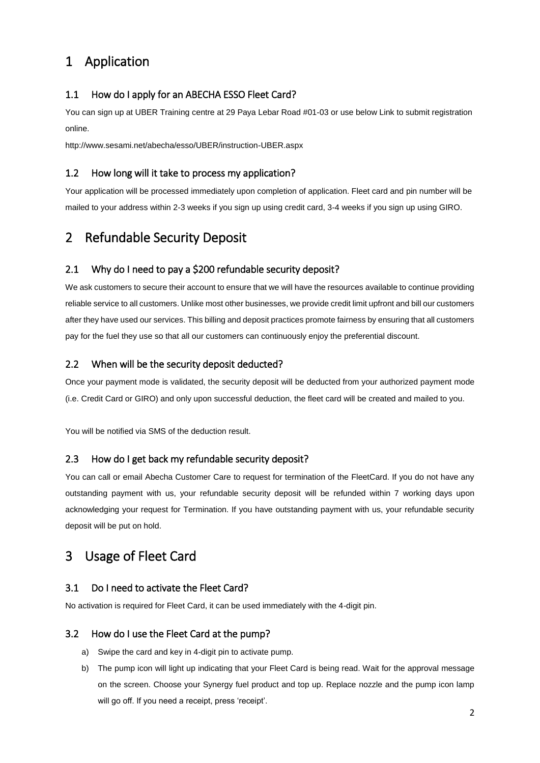# <span id="page-1-0"></span>1 Application

## <span id="page-1-1"></span>1.1 How do I apply for an ABECHA ESSO Fleet Card?

You can sign up at UBER Training centre at 29 Paya Lebar Road #01-03 or use below Link to submit registration online.

http://www.sesami.net/abecha/esso/UBER/instruction-UBER.aspx

### <span id="page-1-2"></span>1.2 How long will it take to process my application?

Your application will be processed immediately upon completion of application. Fleet card and pin number will be mailed to your address within 2-3 weeks if you sign up using credit card, 3-4 weeks if you sign up using GIRO.

## <span id="page-1-3"></span>2 Refundable Security Deposit

## <span id="page-1-4"></span>2.1 Why do I need to pay a \$200 refundable security deposit?

We ask customers to secure their account to ensure that we will have the resources available to continue providing reliable service to all customers. Unlike most other businesses, we provide credit limit upfront and bill our customers after they have used our services. This billing and deposit practices promote fairness by ensuring that all customers pay for the fuel they use so that all our customers can continuously enjoy the preferential discount.

#### <span id="page-1-5"></span>2.2 When will be the security deposit deducted?

Once your payment mode is validated, the security deposit will be deducted from your authorized payment mode (i.e. Credit Card or GIRO) and only upon successful deduction, the fleet card will be created and mailed to you.

You will be notified via SMS of the deduction result.

#### <span id="page-1-6"></span>2.3 How do I get back my refundable security deposit?

You can call or email Abecha Customer Care to request for termination of the FleetCard. If you do not have any outstanding payment with us, your refundable security deposit will be refunded within 7 working days upon acknowledging your request for Termination. If you have outstanding payment with us, your refundable security deposit will be put on hold.

## <span id="page-1-7"></span>3 Usage of Fleet Card

#### <span id="page-1-8"></span>3.1 Do I need to activate the Fleet Card?

No activation is required for Fleet Card, it can be used immediately with the 4-digit pin.

#### <span id="page-1-9"></span>3.2 How do I use the Fleet Card at the pump?

- a) Swipe the card and key in 4-digit pin to activate pump.
- b) The pump icon will light up indicating that your Fleet Card is being read. Wait for the approval message on the screen. Choose your Synergy fuel product and top up. Replace nozzle and the pump icon lamp will go off. If you need a receipt, press 'receipt'.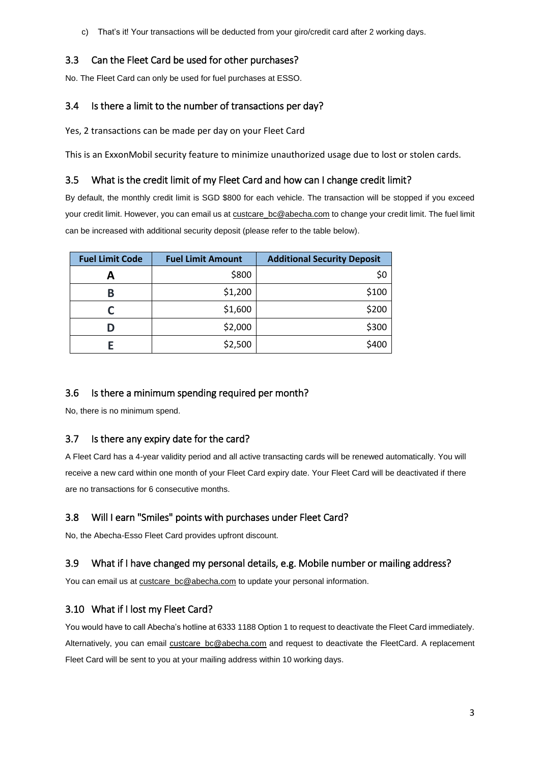c) That's it! Your transactions will be deducted from your giro/credit card after 2 working days.

## <span id="page-2-0"></span>3.3 Can the Fleet Card be used for other purchases?

No. The Fleet Card can only be used for fuel purchases at ESSO.

## <span id="page-2-1"></span>3.4 Is there a limit to the number of transactions per day?

Yes, 2 transactions can be made per day on your Fleet Card

This is an ExxonMobil security feature to minimize unauthorized usage due to lost or stolen cards.

## <span id="page-2-2"></span>3.5 What is the credit limit of my Fleet Card and how can I change credit limit?

By default, the monthly credit limit is SGD \$800 for each vehicle. The transaction will be stopped if you exceed your credit limit. However, you can email us a[t custcare\\_bc@abecha.com](mailto:custcare_bc@abecha.com) to change your credit limit. The fuel limit can be increased with additional security deposit (please refer to the table below).

| <b>Fuel Limit Code</b> | <b>Fuel Limit Amount</b> | <b>Additional Security Deposit</b> |
|------------------------|--------------------------|------------------------------------|
|                        | \$800                    | \$0                                |
| В                      | \$1,200                  | \$100                              |
|                        | \$1,600                  | \$200                              |
|                        | \$2,000                  | \$300                              |
|                        | \$2,500                  | \$400                              |

## <span id="page-2-3"></span>3.6 Is there a minimum spending required per month?

No, there is no minimum spend.

## <span id="page-2-4"></span>3.7 Is there any expiry date for the card?

A Fleet Card has a 4-year validity period and all active transacting cards will be renewed automatically. You will receive a new card within one month of your Fleet Card expiry date. Your Fleet Card will be deactivated if there are no transactions for 6 consecutive months.

## <span id="page-2-5"></span>3.8 Will I earn "Smiles" points with purchases under Fleet Card?

No, the Abecha-Esso Fleet Card provides upfront discount.

## <span id="page-2-6"></span>3.9 What if I have changed my personal details, e.g. Mobile number or mailing address?

You can email us a[t custcare\\_bc@abecha.com](mailto:custcare_bc@abecha.com) to update your personal information.

## <span id="page-2-7"></span>3.10 What if I lost my Fleet Card?

You would have to call Abecha's hotline at 6333 1188 Option 1 to request to deactivate the Fleet Card immediately. Alternatively, you can email [custcare\\_bc@abecha.com](mailto:custcare_bc@abecha.com) and request to deactivate the FleetCard. A replacement Fleet Card will be sent to you at your mailing address within 10 working days.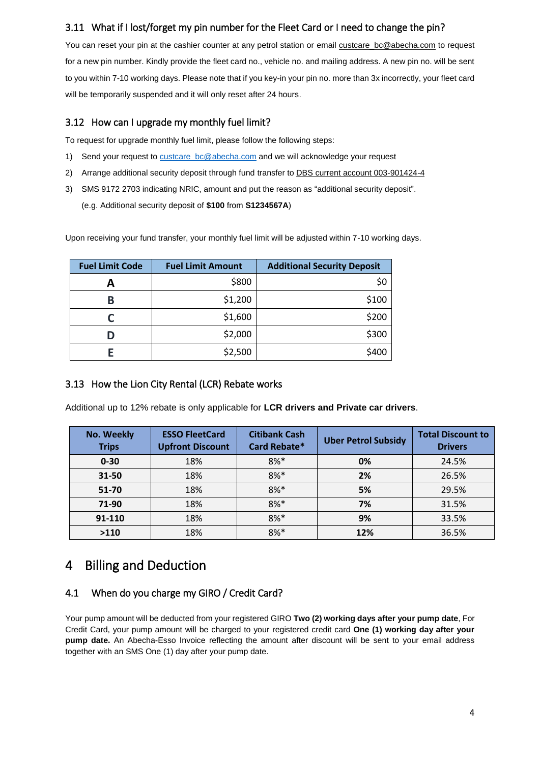## <span id="page-3-0"></span>3.11 What if I lost/forget my pin number for the Fleet Card or I need to change the pin?

You can reset your pin at the cashier counter at any petrol station or email [custcare\\_bc@abecha.com](mailto:custcare_bc@abecha.com) to request for a new pin number. Kindly provide the fleet card no., vehicle no. and mailing address. A new pin no. will be sent to you within 7-10 working days. Please note that if you key-in your pin no. more than 3x incorrectly, your fleet card will be temporarily suspended and it will only reset after 24 hours.

## <span id="page-3-1"></span>3.12 How can I upgrade my monthly fuel limit?

To request for upgrade monthly fuel limit, please follow the following steps:

- 1) Send your request to [custcare\\_bc@abecha.com](mailto:custcare_bc@abecha.com) and we will acknowledge your request
- 2) Arrange additional security deposit through fund transfer to DBS current account 003-901424-4
- 3) SMS 9172 2703 indicating NRIC, amount and put the reason as "additional security deposit". (e.g. Additional security deposit of **\$100** from **S1234567A**)

Upon receiving your fund transfer, your monthly fuel limit will be adjusted within 7-10 working days.

| <b>Fuel Limit Code</b> | <b>Fuel Limit Amount</b> | <b>Additional Security Deposit</b> |
|------------------------|--------------------------|------------------------------------|
|                        | \$800                    | \$0                                |
| В                      | \$1,200                  | \$100                              |
|                        | \$1,600                  | \$200                              |
|                        | \$2,000                  | \$300                              |
|                        | \$2,500                  | \$400                              |

## <span id="page-3-2"></span>3.13 How the Lion City Rental (LCR) Rebate works

Additional up to 12% rebate is only applicable for **LCR drivers and Private car drivers**.

| <b>No. Weekly</b><br><b>Trips</b> | <b>ESSO FleetCard</b><br><b>Upfront Discount</b> | <b>Citibank Cash</b><br>Card Rebate* | <b>Uber Petrol Subsidy</b> | <b>Total Discount to</b><br><b>Drivers</b> |
|-----------------------------------|--------------------------------------------------|--------------------------------------|----------------------------|--------------------------------------------|
| $0 - 30$                          | 18%                                              | $8%$ *                               | 0%                         | 24.5%                                      |
| 31-50                             | 18%                                              | $8%$ *                               | 2%                         | 26.5%                                      |
| 51-70                             | 18%                                              | $8%$ *                               | 5%                         | 29.5%                                      |
| 71-90                             | 18%                                              | $8%$ *                               | 7%                         | 31.5%                                      |
| 91-110                            | 18%                                              | $8%$ *                               | 9%                         | 33.5%                                      |
| >110                              | 18%                                              | $8%$ *                               | 12%                        | 36.5%                                      |

## <span id="page-3-3"></span>4 Billing and Deduction

## <span id="page-3-4"></span>4.1 When do you charge my GIRO / Credit Card?

Your pump amount will be deducted from your registered GIRO **Two (2) working days after your pump date**, For Credit Card, your pump amount will be charged to your registered credit card **One (1) working day after your pump date.** An Abecha-Esso Invoice reflecting the amount after discount will be sent to your email address together with an SMS One (1) day after your pump date.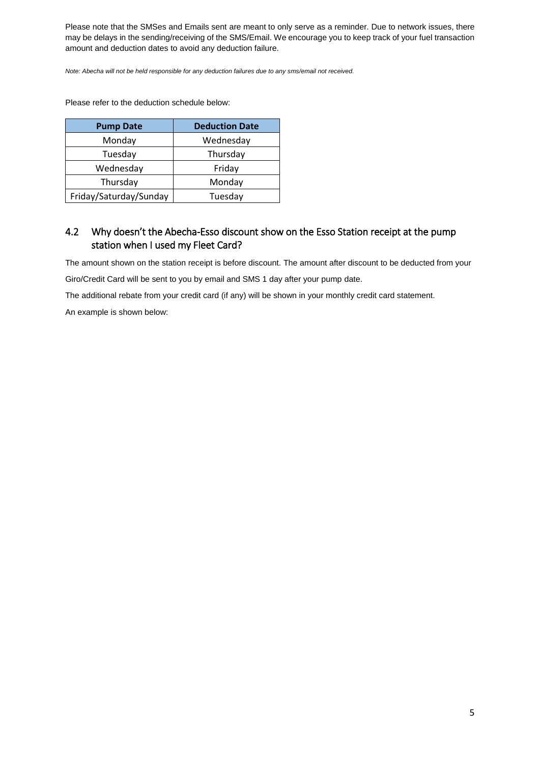Please note that the SMSes and Emails sent are meant to only serve as a reminder. Due to network issues, there may be delays in the sending/receiving of the SMS/Email. We encourage you to keep track of your fuel transaction amount and deduction dates to avoid any deduction failure.

*Note: Abecha will not be held responsible for any deduction failures due to any sms/email not received.*

Please refer to the deduction schedule below:

| <b>Pump Date</b>       | <b>Deduction Date</b> |
|------------------------|-----------------------|
| Monday                 | Wednesday             |
| Tuesday                | Thursday              |
| Wednesday              | Friday                |
| Thursday               | Monday                |
| Friday/Saturday/Sunday | Tuesday               |

## <span id="page-4-0"></span>4.2 Why doesn't the Abecha-Esso discount show on the Esso Station receipt at the pump station when I used my Fleet Card?

The amount shown on the station receipt is before discount. The amount after discount to be deducted from your

Giro/Credit Card will be sent to you by email and SMS 1 day after your pump date.

The additional rebate from your credit card (if any) will be shown in your monthly credit card statement.

An example is shown below: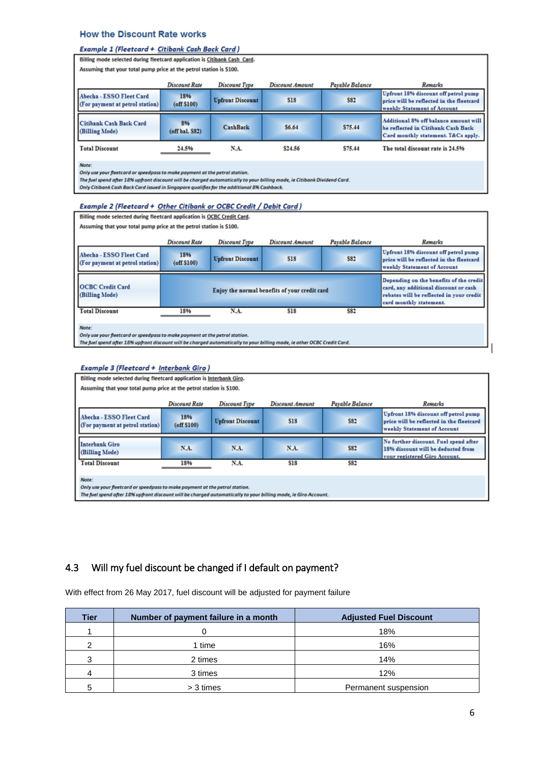#### **How the Discount Rate works**

#### Example 1 (Fleetcard + Citibank Cash Back Card)

| Billing mode selected during fleetcard application is Citibank Cash Card.                                                                                                                                                                                                                                      |                                                                     |                         |            |         |                                                                                                                    |  |  |  |
|----------------------------------------------------------------------------------------------------------------------------------------------------------------------------------------------------------------------------------------------------------------------------------------------------------------|---------------------------------------------------------------------|-------------------------|------------|---------|--------------------------------------------------------------------------------------------------------------------|--|--|--|
|                                                                                                                                                                                                                                                                                                                | Assuming that your total pump price at the petrol station is \$100. |                         |            |         |                                                                                                                    |  |  |  |
|                                                                                                                                                                                                                                                                                                                | Remarks                                                             |                         |            |         |                                                                                                                    |  |  |  |
| Abecha - ESSO Fleet Card<br>(For payment at petrol station)                                                                                                                                                                                                                                                    | 18%<br>(off \$100)                                                  | <b>Upfront Discount</b> | <b>S18</b> | \$82    | Upfront 18% discount off petrol pump<br>price will be reflected in the fleetcard<br>weekly Statement of Account    |  |  |  |
| Citibank Cash Back Card<br>(Billing Mode)                                                                                                                                                                                                                                                                      | 8%<br>$($ off bal. $$82)$                                           | <b>CashBack</b>         | \$6.64     | \$75.44 | Additional 8% off balance amount will<br>be reflected in Citibank Cash Back<br>Card monthly statement. T&Cs apply. |  |  |  |
| <b>Total Discount</b>                                                                                                                                                                                                                                                                                          | 24.5%                                                               | N.A.                    | \$24.56    | \$75.44 | The total discount rate is 24.5%                                                                                   |  |  |  |
| Note:<br>Only use your fleetcard or speedpass to make payment at the petrol station.<br>The fuel spend after 18% upfront discount will be charged automatically to your billing mode, ie Citibank Dividend Card,<br>Only Citibank Cash Back Card issued in Singapore auglifies for the additional 8% Cashback. |                                                                     |                         |            |         |                                                                                                                    |  |  |  |

| Example 2 (Fleetcard + Other Citibank or OCBC Credit / Debit Card)                                                                                                                                               |                          |                                               |                 |                 |                                                                                                                                                         |
|------------------------------------------------------------------------------------------------------------------------------------------------------------------------------------------------------------------|--------------------------|-----------------------------------------------|-----------------|-----------------|---------------------------------------------------------------------------------------------------------------------------------------------------------|
| Billing mode selected during fleetcard application is OCBC Credit Card.                                                                                                                                          |                          |                                               |                 |                 |                                                                                                                                                         |
| Assuming that your total pump price at the petrol station is \$100.                                                                                                                                              |                          |                                               |                 |                 |                                                                                                                                                         |
|                                                                                                                                                                                                                  | <b>Discount Rate</b>     | <b>Discount Type</b>                          | Discount Amount | Payable Balance | Remarks                                                                                                                                                 |
| Abecha - ESSO Fleet Card<br>(For payment at petrol station)                                                                                                                                                      | 18%<br>$($ off \$100 $)$ | <b>Upfront Discount</b>                       | <b>S18</b>      | \$82            | Upfront 18% discount off petrol pump<br>price will be reflected in the fleetcard<br>weekly Statement of Account                                         |
| <b>OCBC Credit Card</b><br>(Billing Mode)                                                                                                                                                                        |                          | Enjoy the normal benefits of your credit card |                 |                 | Depending on the benefits of the credit<br>card, any additional discount or cash<br>rebates will be reflected in your credit<br>card monthly statement. |
| <b>Total Discount</b>                                                                                                                                                                                            | 18%                      | N.A.                                          | \$18            | \$82            |                                                                                                                                                         |
| Note:<br>Only use your fleetcard or speedpass to make payment at the petrol station.<br>The fuel spend after 18% upfront discount will be charged automatically to your billing mode, ie other OCBC Credit Card. |                          |                                               |                 |                 |                                                                                                                                                         |

|  |  | <b>Example 3 (Fleetcard + Interbank Giro)</b> |  |
|--|--|-----------------------------------------------|--|
|--|--|-----------------------------------------------|--|

|                                                            | Billing mode selected during fleetcard application is interbank Giro.       |                          |                         |             |            |                                                                                                                 |  |  |
|------------------------------------------------------------|-----------------------------------------------------------------------------|--------------------------|-------------------------|-------------|------------|-----------------------------------------------------------------------------------------------------------------|--|--|
|                                                            | Assuming that your total pump price at the petrol station is \$100.         |                          |                         |             |            |                                                                                                                 |  |  |
|                                                            |                                                                             | Remarks                  |                         |             |            |                                                                                                                 |  |  |
|                                                            | Abecha - ESSO Fleet Card<br>(For payment at petrol station)                 | 18%<br>$($ off \$100 $)$ | <b>Upfront Discount</b> | \$18        | <b>S82</b> | Upfront 18% discount off petrol pump<br>price will be reflected in the fleetcard<br>weekly Statement of Account |  |  |
|                                                            | Interbank Giro<br>(Billing Mode)                                            | N.A.                     | <b>N.A.</b>             | <b>N.A.</b> | <b>S82</b> | No further discount. Fuel spend after<br>18% discount will be deducted from<br>your registered Giro Account.    |  |  |
| <b>Total Discount</b><br>N.A.<br>\$18<br><b>S82</b><br>18% |                                                                             |                          |                         |             |            |                                                                                                                 |  |  |
|                                                            |                                                                             |                          |                         |             |            |                                                                                                                 |  |  |
|                                                            | Note:                                                                       |                          |                         |             |            |                                                                                                                 |  |  |
|                                                            | Only use your fleetcard or speedpass to make payment at the petrol station. |                          |                         |             |            |                                                                                                                 |  |  |

The fuel spend after 18% upfront discount will be charged automatically to your billing mode, ie Giro Account.

## <span id="page-5-0"></span>4.3 Will my fuel discount be changed if I default on payment?

With effect from 26 May 2017, fuel discount will be adjusted for payment failure

| Tier | Number of payment failure in a month | <b>Adjusted Fuel Discount</b> |
|------|--------------------------------------|-------------------------------|
|      |                                      | 18%                           |
| າ    | 1 time                               | 16%                           |
| 3    | 2 times                              | 14%                           |
| 4    | 3 times                              | 12%                           |
| г,   | > 3 times                            | Permanent suspension          |